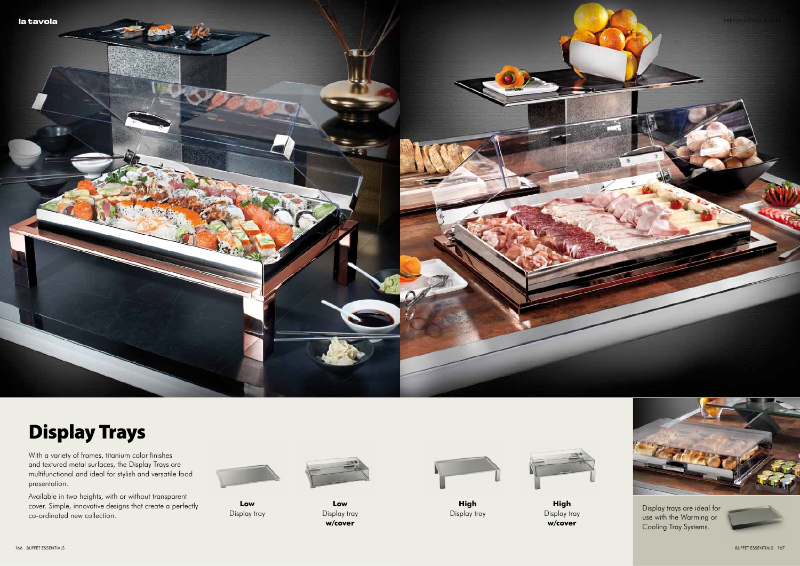

## **Display Trays**

With a variety of frames, titanium color finishes<br>and textured metal surfaces, the Display Trays are multifunctional and ideal for stylish and versatile food presentation.

Available in two heights, with or without transparent cover. Simple, innovative designs that create a perfectly co-ordinated new collection.



Low Display tray



Low Display tray w/cover



High

Display tray

**High** Display tray w/cover



Display trays are ideal for use with the Warming or Cooling Tray Systems.